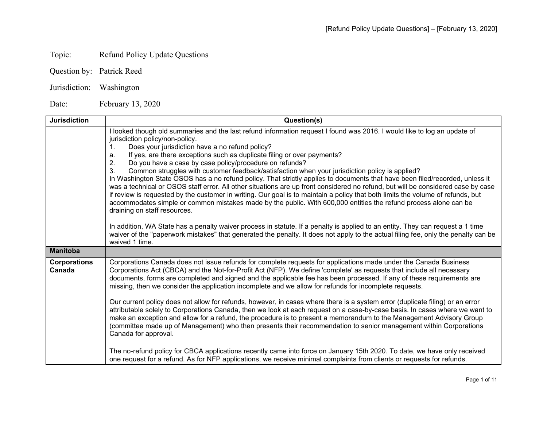## Topic: Refund Policy Update Questions

- Question by: Patrick Reed
- Jurisdiction: Washington

Date: February 13, 2020

| <b>Jurisdiction</b>           | Question(s)                                                                                                                                                                                                                                                                                                                                                                                                                                                                                                                                                                                                                                                                                                                                                                                                                                                                                                                                                                                                                                                                                                                                                                                                                                                            |
|-------------------------------|------------------------------------------------------------------------------------------------------------------------------------------------------------------------------------------------------------------------------------------------------------------------------------------------------------------------------------------------------------------------------------------------------------------------------------------------------------------------------------------------------------------------------------------------------------------------------------------------------------------------------------------------------------------------------------------------------------------------------------------------------------------------------------------------------------------------------------------------------------------------------------------------------------------------------------------------------------------------------------------------------------------------------------------------------------------------------------------------------------------------------------------------------------------------------------------------------------------------------------------------------------------------|
|                               | I looked though old summaries and the last refund information request I found was 2016. I would like to log an update of<br>jurisdiction policy/non-policy.<br>Does your jurisdiction have a no refund policy?<br>If yes, are there exceptions such as duplicate filing or over payments?<br>a.<br>2.<br>Do you have a case by case policy/procedure on refunds?<br>3.<br>Common struggles with customer feedback/satisfaction when your jurisdiction policy is applied?<br>In Washington State OSOS has a no refund policy. That strictly applies to documents that have been filed/recorded, unless it<br>was a technical or OSOS staff error. All other situations are up front considered no refund, but will be considered case by case<br>if review is requested by the customer in writing. Our goal is to maintain a policy that both limits the volume of refunds, but<br>accommodates simple or common mistakes made by the public. With 600,000 entities the refund process alone can be<br>draining on staff resources.<br>In addition, WA State has a penalty waiver process in statute. If a penalty is applied to an entity. They can request a 1 time                                                                                                  |
|                               | waiver of the "paperwork mistakes" that generated the penalty. It does not apply to the actual filing fee, only the penalty can be<br>waived 1 time.                                                                                                                                                                                                                                                                                                                                                                                                                                                                                                                                                                                                                                                                                                                                                                                                                                                                                                                                                                                                                                                                                                                   |
| <b>Manitoba</b>               |                                                                                                                                                                                                                                                                                                                                                                                                                                                                                                                                                                                                                                                                                                                                                                                                                                                                                                                                                                                                                                                                                                                                                                                                                                                                        |
| <b>Corporations</b><br>Canada | Corporations Canada does not issue refunds for complete requests for applications made under the Canada Business<br>Corporations Act (CBCA) and the Not-for-Profit Act (NFP). We define 'complete' as requests that include all necessary<br>documents, forms are completed and signed and the applicable fee has been processed. If any of these requirements are<br>missing, then we consider the application incomplete and we allow for refunds for incomplete requests.<br>Our current policy does not allow for refunds, however, in cases where there is a system error (duplicate filing) or an error<br>attributable solely to Corporations Canada, then we look at each request on a case-by-case basis. In cases where we want to<br>make an exception and allow for a refund, the procedure is to present a memorandum to the Management Advisory Group<br>(committee made up of Management) who then presents their recommendation to senior management within Corporations<br>Canada for approval.<br>The no-refund policy for CBCA applications recently came into force on January 15th 2020. To date, we have only received<br>one request for a refund. As for NFP applications, we receive minimal complaints from clients or requests for refunds. |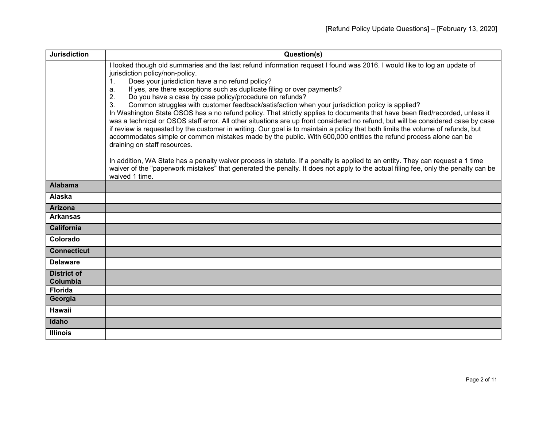| <b>Jurisdiction</b>            | Question(s)                                                                                                                                                                                                                                                                                                                                                                                                                                                                                                                                                                                                                                                                                                                                                                                                                                                                                                                                                                                                                                                                                                                                                                                                                                                                                                                                                |
|--------------------------------|------------------------------------------------------------------------------------------------------------------------------------------------------------------------------------------------------------------------------------------------------------------------------------------------------------------------------------------------------------------------------------------------------------------------------------------------------------------------------------------------------------------------------------------------------------------------------------------------------------------------------------------------------------------------------------------------------------------------------------------------------------------------------------------------------------------------------------------------------------------------------------------------------------------------------------------------------------------------------------------------------------------------------------------------------------------------------------------------------------------------------------------------------------------------------------------------------------------------------------------------------------------------------------------------------------------------------------------------------------|
|                                | I looked though old summaries and the last refund information request I found was 2016. I would like to log an update of<br>jurisdiction policy/non-policy.<br>Does your jurisdiction have a no refund policy?<br>$\mathbf{1}$ .<br>If yes, are there exceptions such as duplicate filing or over payments?<br>a.<br>Do you have a case by case policy/procedure on refunds?<br>2.<br>Common struggles with customer feedback/satisfaction when your jurisdiction policy is applied?<br>$\mathcal{S}$<br>In Washington State OSOS has a no refund policy. That strictly applies to documents that have been filed/recorded, unless it<br>was a technical or OSOS staff error. All other situations are up front considered no refund, but will be considered case by case<br>if review is requested by the customer in writing. Our goal is to maintain a policy that both limits the volume of refunds, but<br>accommodates simple or common mistakes made by the public. With 600,000 entities the refund process alone can be<br>draining on staff resources.<br>In addition, WA State has a penalty waiver process in statute. If a penalty is applied to an entity. They can request a 1 time<br>waiver of the "paperwork mistakes" that generated the penalty. It does not apply to the actual filing fee, only the penalty can be<br>waived 1 time. |
| <b>Alabama</b>                 |                                                                                                                                                                                                                                                                                                                                                                                                                                                                                                                                                                                                                                                                                                                                                                                                                                                                                                                                                                                                                                                                                                                                                                                                                                                                                                                                                            |
| <b>Alaska</b>                  |                                                                                                                                                                                                                                                                                                                                                                                                                                                                                                                                                                                                                                                                                                                                                                                                                                                                                                                                                                                                                                                                                                                                                                                                                                                                                                                                                            |
| <b>Arizona</b>                 |                                                                                                                                                                                                                                                                                                                                                                                                                                                                                                                                                                                                                                                                                                                                                                                                                                                                                                                                                                                                                                                                                                                                                                                                                                                                                                                                                            |
| <b>Arkansas</b>                |                                                                                                                                                                                                                                                                                                                                                                                                                                                                                                                                                                                                                                                                                                                                                                                                                                                                                                                                                                                                                                                                                                                                                                                                                                                                                                                                                            |
| <b>California</b>              |                                                                                                                                                                                                                                                                                                                                                                                                                                                                                                                                                                                                                                                                                                                                                                                                                                                                                                                                                                                                                                                                                                                                                                                                                                                                                                                                                            |
| Colorado                       |                                                                                                                                                                                                                                                                                                                                                                                                                                                                                                                                                                                                                                                                                                                                                                                                                                                                                                                                                                                                                                                                                                                                                                                                                                                                                                                                                            |
| <b>Connecticut</b>             |                                                                                                                                                                                                                                                                                                                                                                                                                                                                                                                                                                                                                                                                                                                                                                                                                                                                                                                                                                                                                                                                                                                                                                                                                                                                                                                                                            |
| <b>Delaware</b>                |                                                                                                                                                                                                                                                                                                                                                                                                                                                                                                                                                                                                                                                                                                                                                                                                                                                                                                                                                                                                                                                                                                                                                                                                                                                                                                                                                            |
| <b>District of</b><br>Columbia |                                                                                                                                                                                                                                                                                                                                                                                                                                                                                                                                                                                                                                                                                                                                                                                                                                                                                                                                                                                                                                                                                                                                                                                                                                                                                                                                                            |
| <b>Florida</b>                 |                                                                                                                                                                                                                                                                                                                                                                                                                                                                                                                                                                                                                                                                                                                                                                                                                                                                                                                                                                                                                                                                                                                                                                                                                                                                                                                                                            |
| Georgia                        |                                                                                                                                                                                                                                                                                                                                                                                                                                                                                                                                                                                                                                                                                                                                                                                                                                                                                                                                                                                                                                                                                                                                                                                                                                                                                                                                                            |
| <b>Hawaii</b>                  |                                                                                                                                                                                                                                                                                                                                                                                                                                                                                                                                                                                                                                                                                                                                                                                                                                                                                                                                                                                                                                                                                                                                                                                                                                                                                                                                                            |
| Idaho                          |                                                                                                                                                                                                                                                                                                                                                                                                                                                                                                                                                                                                                                                                                                                                                                                                                                                                                                                                                                                                                                                                                                                                                                                                                                                                                                                                                            |
| <b>Illinois</b>                |                                                                                                                                                                                                                                                                                                                                                                                                                                                                                                                                                                                                                                                                                                                                                                                                                                                                                                                                                                                                                                                                                                                                                                                                                                                                                                                                                            |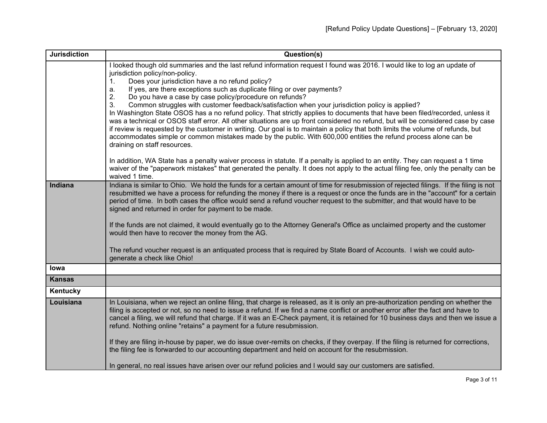| <b>Jurisdiction</b> | Question(s)                                                                                                                                                                      |
|---------------------|----------------------------------------------------------------------------------------------------------------------------------------------------------------------------------|
|                     | I looked though old summaries and the last refund information request I found was 2016. I would like to log an update of                                                         |
|                     | jurisdiction policy/non-policy.                                                                                                                                                  |
|                     | Does your jurisdiction have a no refund policy?<br>$1_{-}$<br>If yes, are there exceptions such as duplicate filing or over payments?<br>a.                                      |
|                     | Do you have a case by case policy/procedure on refunds?<br>2.                                                                                                                    |
|                     | Common struggles with customer feedback/satisfaction when your jurisdiction policy is applied?<br>3.                                                                             |
|                     | In Washington State OSOS has a no refund policy. That strictly applies to documents that have been filed/recorded, unless it                                                     |
|                     | was a technical or OSOS staff error. All other situations are up front considered no refund, but will be considered case by case                                                 |
|                     | if review is requested by the customer in writing. Our goal is to maintain a policy that both limits the volume of refunds, but                                                  |
|                     | accommodates simple or common mistakes made by the public. With 600,000 entities the refund process alone can be                                                                 |
|                     | draining on staff resources.                                                                                                                                                     |
|                     | In addition, WA State has a penalty waiver process in statute. If a penalty is applied to an entity. They can request a 1 time                                                   |
|                     | waiver of the "paperwork mistakes" that generated the penalty. It does not apply to the actual filing fee, only the penalty can be                                               |
|                     | waived 1 time.                                                                                                                                                                   |
| Indiana             | Indiana is similar to Ohio. We hold the funds for a certain amount of time for resubmission of rejected filings. If the filing is not                                            |
|                     | resubmitted we have a process for refunding the money if there is a request or once the funds are in the "account" for a certain                                                 |
|                     | period of time. In both cases the office would send a refund voucher request to the submitter, and that would have to be<br>signed and returned in order for payment to be made. |
|                     |                                                                                                                                                                                  |
|                     | If the funds are not claimed, it would eventually go to the Attorney General's Office as unclaimed property and the customer                                                     |
|                     | would then have to recover the money from the AG.                                                                                                                                |
|                     |                                                                                                                                                                                  |
|                     | The refund voucher request is an antiquated process that is required by State Board of Accounts. I wish we could auto-                                                           |
|                     | generate a check like Ohio!                                                                                                                                                      |
| lowa                |                                                                                                                                                                                  |
| <b>Kansas</b>       |                                                                                                                                                                                  |
| Kentucky            |                                                                                                                                                                                  |
| Louisiana           | In Louisiana, when we reject an online filing, that charge is released, as it is only an pre-authorization pending on whether the                                                |
|                     | filing is accepted or not, so no need to issue a refund. If we find a name conflict or another error after the fact and have to                                                  |
|                     | cancel a filing, we will refund that charge. If it was an E-Check payment, it is retained for 10 business days and then we issue a                                               |
|                     | refund. Nothing online "retains" a payment for a future resubmission.                                                                                                            |
|                     | If they are filing in-house by paper, we do issue over-remits on checks, if they overpay. If the filing is returned for corrections,                                             |
|                     | the filing fee is forwarded to our accounting department and held on account for the resubmission.                                                                               |
|                     |                                                                                                                                                                                  |
|                     | In general, no real issues have arisen over our refund policies and I would say our customers are satisfied.                                                                     |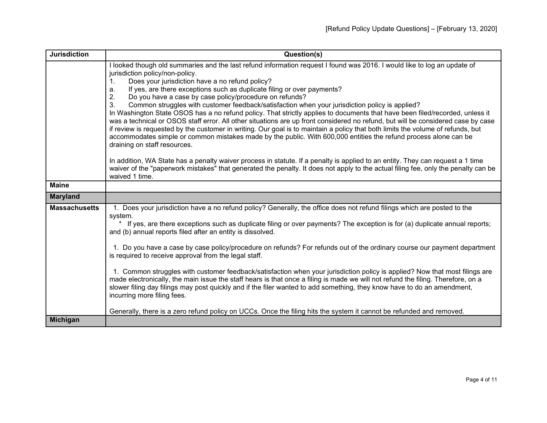| <b>Jurisdiction</b>  | Question(s)                                                                                                                                                                                                                                                                                                                                                                                                                                                                                                                                                                                                                                                                                                                                                                                                                                                                                                                                                                                                                                                                 |
|----------------------|-----------------------------------------------------------------------------------------------------------------------------------------------------------------------------------------------------------------------------------------------------------------------------------------------------------------------------------------------------------------------------------------------------------------------------------------------------------------------------------------------------------------------------------------------------------------------------------------------------------------------------------------------------------------------------------------------------------------------------------------------------------------------------------------------------------------------------------------------------------------------------------------------------------------------------------------------------------------------------------------------------------------------------------------------------------------------------|
|                      | looked though old summaries and the last refund information request I found was 2016. I would like to log an update of<br>jurisdiction policy/non-policy.<br>Does your jurisdiction have a no refund policy?<br>1.<br>If yes, are there exceptions such as duplicate filing or over payments?<br>a.<br>2.<br>Do you have a case by case policy/procedure on refunds?<br>Common struggles with customer feedback/satisfaction when your jurisdiction policy is applied?<br>3.<br>In Washington State OSOS has a no refund policy. That strictly applies to documents that have been filed/recorded, unless it<br>was a technical or OSOS staff error. All other situations are up front considered no refund, but will be considered case by case<br>if review is requested by the customer in writing. Our goal is to maintain a policy that both limits the volume of refunds, but<br>accommodates simple or common mistakes made by the public. With 600,000 entities the refund process alone can be<br>draining on staff resources.                                     |
|                      | In addition, WA State has a penalty waiver process in statute. If a penalty is applied to an entity. They can request a 1 time<br>waiver of the "paperwork mistakes" that generated the penalty. It does not apply to the actual filing fee, only the penalty can be<br>waived 1 time.                                                                                                                                                                                                                                                                                                                                                                                                                                                                                                                                                                                                                                                                                                                                                                                      |
| <b>Maine</b>         |                                                                                                                                                                                                                                                                                                                                                                                                                                                                                                                                                                                                                                                                                                                                                                                                                                                                                                                                                                                                                                                                             |
| <b>Maryland</b>      |                                                                                                                                                                                                                                                                                                                                                                                                                                                                                                                                                                                                                                                                                                                                                                                                                                                                                                                                                                                                                                                                             |
| <b>Massachusetts</b> | 1. Does your jurisdiction have a no refund policy? Generally, the office does not refund filings which are posted to the<br>system.<br>* If yes, are there exceptions such as duplicate filing or over payments? The exception is for (a) duplicate annual reports;<br>and (b) annual reports filed after an entity is dissolved.<br>1. Do you have a case by case policy/procedure on refunds? For refunds out of the ordinary course our payment department<br>is required to receive approval from the legal staff.<br>1. Common struggles with customer feedback/satisfaction when your jurisdiction policy is applied? Now that most filings are<br>made electronically, the main issue the staff hears is that once a filing is made we will not refund the filing. Therefore, on a<br>slower filing day filings may post quickly and if the filer wanted to add something, they know have to do an amendment,<br>incurring more filing fees.<br>Generally, there is a zero refund policy on UCCs. Once the filing hits the system it cannot be refunded and removed. |
| <b>Michigan</b>      |                                                                                                                                                                                                                                                                                                                                                                                                                                                                                                                                                                                                                                                                                                                                                                                                                                                                                                                                                                                                                                                                             |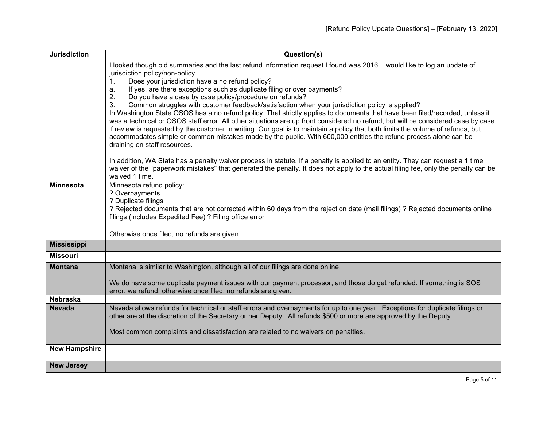| <b>Jurisdiction</b>  | Question(s)                                                                                                                                                                          |
|----------------------|--------------------------------------------------------------------------------------------------------------------------------------------------------------------------------------|
|                      | I looked though old summaries and the last refund information request I found was 2016. I would like to log an update of                                                             |
|                      | jurisdiction policy/non-policy.                                                                                                                                                      |
|                      | Does your jurisdiction have a no refund policy?<br>1.<br>If yes, are there exceptions such as duplicate filing or over payments?<br>a.                                               |
|                      | Do you have a case by case policy/procedure on refunds?<br>2.                                                                                                                        |
|                      | Common struggles with customer feedback/satisfaction when your jurisdiction policy is applied?<br>3.                                                                                 |
|                      | In Washington State OSOS has a no refund policy. That strictly applies to documents that have been filed/recorded, unless it                                                         |
|                      | was a technical or OSOS staff error. All other situations are up front considered no refund, but will be considered case by case                                                     |
|                      | if review is requested by the customer in writing. Our goal is to maintain a policy that both limits the volume of refunds, but                                                      |
|                      | accommodates simple or common mistakes made by the public. With 600,000 entities the refund process alone can be                                                                     |
|                      | draining on staff resources.                                                                                                                                                         |
|                      | In addition, WA State has a penalty waiver process in statute. If a penalty is applied to an entity. They can request a 1 time                                                       |
|                      | waiver of the "paperwork mistakes" that generated the penalty. It does not apply to the actual filing fee, only the penalty can be                                                   |
|                      | waived 1 time.                                                                                                                                                                       |
| <b>Minnesota</b>     | Minnesota refund policy:                                                                                                                                                             |
|                      | ? Overpayments                                                                                                                                                                       |
|                      | ? Duplicate filings<br>? Rejected documents that are not corrected within 60 days from the rejection date (mail filings) ? Rejected documents online                                 |
|                      | filings (includes Expedited Fee) ? Filing office error                                                                                                                               |
|                      |                                                                                                                                                                                      |
|                      | Otherwise once filed, no refunds are given.                                                                                                                                          |
| <b>Mississippi</b>   |                                                                                                                                                                                      |
| <b>Missouri</b>      |                                                                                                                                                                                      |
| <b>Montana</b>       | Montana is similar to Washington, although all of our filings are done online.                                                                                                       |
|                      |                                                                                                                                                                                      |
|                      | We do have some duplicate payment issues with our payment processor, and those do get refunded. If something is SOS<br>error, we refund, otherwise once filed, no refunds are given. |
| <b>Nebraska</b>      |                                                                                                                                                                                      |
| <b>Nevada</b>        | Nevada allows refunds for technical or staff errors and overpayments for up to one year. Exceptions for duplicate filings or                                                         |
|                      | other are at the discretion of the Secretary or her Deputy. All refunds \$500 or more are approved by the Deputy.                                                                    |
|                      |                                                                                                                                                                                      |
|                      | Most common complaints and dissatisfaction are related to no waivers on penalties.                                                                                                   |
|                      |                                                                                                                                                                                      |
| <b>New Hampshire</b> |                                                                                                                                                                                      |
| <b>New Jersey</b>    |                                                                                                                                                                                      |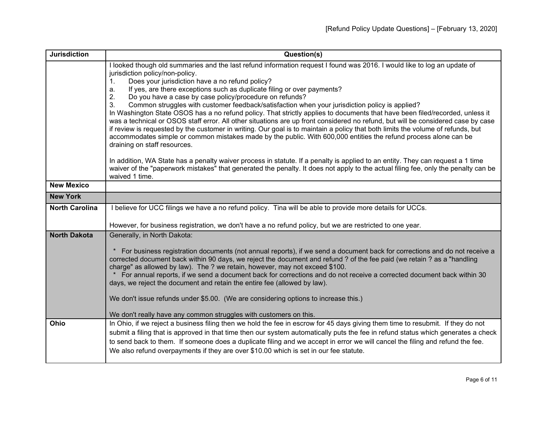| <b>Jurisdiction</b>   | Question(s)                                                                                                                                                                                                                                                         |
|-----------------------|---------------------------------------------------------------------------------------------------------------------------------------------------------------------------------------------------------------------------------------------------------------------|
|                       | I looked though old summaries and the last refund information request I found was 2016. I would like to log an update of<br>jurisdiction policy/non-policy.                                                                                                         |
|                       | Does your jurisdiction have a no refund policy?<br>1.                                                                                                                                                                                                               |
|                       | If yes, are there exceptions such as duplicate filing or over payments?<br>a.                                                                                                                                                                                       |
|                       | Do you have a case by case policy/procedure on refunds?<br>2.                                                                                                                                                                                                       |
|                       | Common struggles with customer feedback/satisfaction when your jurisdiction policy is applied?<br>3.                                                                                                                                                                |
|                       | In Washington State OSOS has a no refund policy. That strictly applies to documents that have been filed/recorded, unless it                                                                                                                                        |
|                       | was a technical or OSOS staff error. All other situations are up front considered no refund, but will be considered case by case<br>if review is requested by the customer in writing. Our goal is to maintain a policy that both limits the volume of refunds, but |
|                       | accommodates simple or common mistakes made by the public. With 600,000 entities the refund process alone can be                                                                                                                                                    |
|                       | draining on staff resources.                                                                                                                                                                                                                                        |
|                       | In addition, WA State has a penalty waiver process in statute. If a penalty is applied to an entity. They can request a 1 time                                                                                                                                      |
|                       | waiver of the "paperwork mistakes" that generated the penalty. It does not apply to the actual filing fee, only the penalty can be                                                                                                                                  |
|                       | waived 1 time.                                                                                                                                                                                                                                                      |
| <b>New Mexico</b>     |                                                                                                                                                                                                                                                                     |
| <b>New York</b>       |                                                                                                                                                                                                                                                                     |
| <b>North Carolina</b> | I believe for UCC filings we have a no refund policy. Tina will be able to provide more details for UCCs.                                                                                                                                                           |
|                       | However, for business registration, we don't have a no refund policy, but we are restricted to one year.                                                                                                                                                            |
| <b>North Dakota</b>   | Generally, in North Dakota:                                                                                                                                                                                                                                         |
|                       |                                                                                                                                                                                                                                                                     |
|                       | For business registration documents (not annual reports), if we send a document back for corrections and do not receive a                                                                                                                                           |
|                       | corrected document back within 90 days, we reject the document and refund ? of the fee paid (we retain ? as a "handling                                                                                                                                             |
|                       | charge" as allowed by law). The ? we retain, however, may not exceed \$100.                                                                                                                                                                                         |
|                       | For annual reports, if we send a document back for corrections and do not receive a corrected document back within 30<br>days, we reject the document and retain the entire fee (allowed by law).                                                                   |
|                       |                                                                                                                                                                                                                                                                     |
|                       | We don't issue refunds under \$5.00. (We are considering options to increase this.)                                                                                                                                                                                 |
|                       | We don't really have any common struggles with customers on this.                                                                                                                                                                                                   |
| Ohio                  | In Ohio, if we reject a business filing then we hold the fee in escrow for 45 days giving them time to resubmit. If they do not                                                                                                                                     |
|                       | submit a filing that is approved in that time then our system automatically puts the fee in refund status which generates a check                                                                                                                                   |
|                       | to send back to them. If someone does a duplicate filing and we accept in error we will cancel the filing and refund the fee.                                                                                                                                       |
|                       | We also refund overpayments if they are over \$10.00 which is set in our fee statute.                                                                                                                                                                               |
|                       |                                                                                                                                                                                                                                                                     |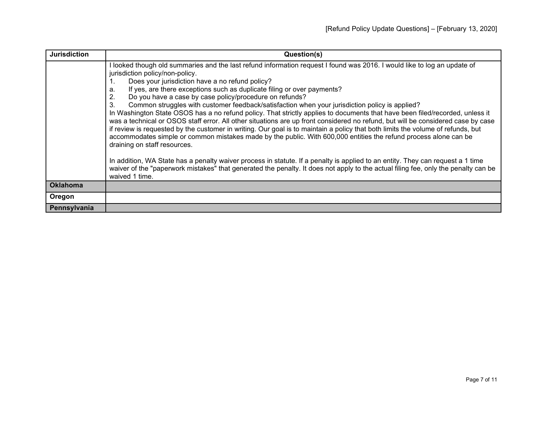| <b>Jurisdiction</b> | Question(s)                                                                                                                                                                                                                                                                                                                                                                                                                                                                                                                                                                                                                                                                                                                                                                                                                                                                                                                                                                                                                 |
|---------------------|-----------------------------------------------------------------------------------------------------------------------------------------------------------------------------------------------------------------------------------------------------------------------------------------------------------------------------------------------------------------------------------------------------------------------------------------------------------------------------------------------------------------------------------------------------------------------------------------------------------------------------------------------------------------------------------------------------------------------------------------------------------------------------------------------------------------------------------------------------------------------------------------------------------------------------------------------------------------------------------------------------------------------------|
|                     | looked though old summaries and the last refund information request I found was 2016. I would like to log an update of<br>jurisdiction policy/non-policy.<br>Does your jurisdiction have a no refund policy?<br>If yes, are there exceptions such as duplicate filing or over payments?<br>а.<br>Do you have a case by case policy/procedure on refunds?<br>Common struggles with customer feedback/satisfaction when your jurisdiction policy is applied?<br>3.<br>In Washington State OSOS has a no refund policy. That strictly applies to documents that have been filed/recorded, unless it<br>was a technical or OSOS staff error. All other situations are up front considered no refund, but will be considered case by case<br>if review is requested by the customer in writing. Our goal is to maintain a policy that both limits the volume of refunds, but<br>accommodates simple or common mistakes made by the public. With 600,000 entities the refund process alone can be<br>draining on staff resources. |
|                     | In addition, WA State has a penalty waiver process in statute. If a penalty is applied to an entity. They can request a 1 time<br>waiver of the "paperwork mistakes" that generated the penalty. It does not apply to the actual filing fee, only the penalty can be<br>waived 1 time.                                                                                                                                                                                                                                                                                                                                                                                                                                                                                                                                                                                                                                                                                                                                      |
| <b>Oklahoma</b>     |                                                                                                                                                                                                                                                                                                                                                                                                                                                                                                                                                                                                                                                                                                                                                                                                                                                                                                                                                                                                                             |
| Oregon              |                                                                                                                                                                                                                                                                                                                                                                                                                                                                                                                                                                                                                                                                                                                                                                                                                                                                                                                                                                                                                             |
| Pennsylvania        |                                                                                                                                                                                                                                                                                                                                                                                                                                                                                                                                                                                                                                                                                                                                                                                                                                                                                                                                                                                                                             |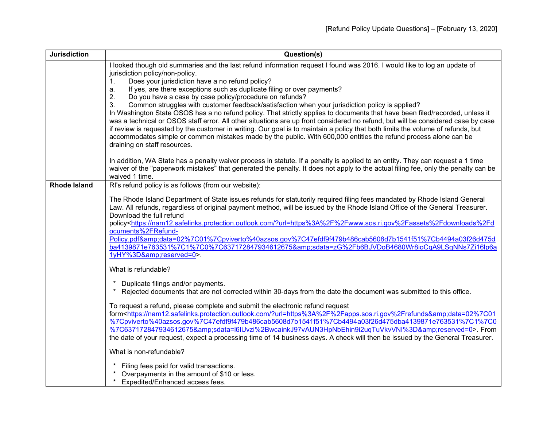| <b>Jurisdiction</b> | Question(s)                                                                                                                                                                                                                    |
|---------------------|--------------------------------------------------------------------------------------------------------------------------------------------------------------------------------------------------------------------------------|
|                     | I looked though old summaries and the last refund information request I found was 2016. I would like to log an update of                                                                                                       |
|                     | jurisdiction policy/non-policy.                                                                                                                                                                                                |
|                     | Does your jurisdiction have a no refund policy?<br>1.                                                                                                                                                                          |
|                     | If yes, are there exceptions such as duplicate filing or over payments?<br>a.                                                                                                                                                  |
|                     | Do you have a case by case policy/procedure on refunds?<br>2.<br>3.                                                                                                                                                            |
|                     | Common struggles with customer feedback/satisfaction when your jurisdiction policy is applied?<br>In Washington State OSOS has a no refund policy. That strictly applies to documents that have been filed/recorded, unless it |
|                     | was a technical or OSOS staff error. All other situations are up front considered no refund, but will be considered case by case                                                                                               |
|                     | if review is requested by the customer in writing. Our goal is to maintain a policy that both limits the volume of refunds, but                                                                                                |
|                     | accommodates simple or common mistakes made by the public. With 600,000 entities the refund process alone can be                                                                                                               |
|                     | draining on staff resources.                                                                                                                                                                                                   |
|                     |                                                                                                                                                                                                                                |
|                     | In addition, WA State has a penalty waiver process in statute. If a penalty is applied to an entity. They can request a 1 time                                                                                                 |
|                     | waiver of the "paperwork mistakes" that generated the penalty. It does not apply to the actual filing fee, only the penalty can be                                                                                             |
|                     | waived 1 time.                                                                                                                                                                                                                 |
| <b>Rhode Island</b> | RI's refund policy is as follows (from our website):                                                                                                                                                                           |
|                     | The Rhode Island Department of State issues refunds for statutorily required filing fees mandated by Rhode Island General                                                                                                      |
|                     | Law. All refunds, regardless of original payment method, will be issued by the Rhode Island Office of the General Treasurer.                                                                                                   |
|                     | Download the full refund                                                                                                                                                                                                       |
|                     | policy <https: ?url="https%3A%2F%2Fwww.sos.ri.gov%2Fassets%2Fdownloads%2Fd&lt;/th" nam12.safelinks.protection.outlook.com=""></https:>                                                                                         |
|                     | ocuments%2FRefund-                                                                                                                                                                                                             |
|                     | Policy.pdf&data=02%7C01%7Cpviverto%40azsos.gov%7C47efdf9f479b486cab5608d7b1541f51%7Cb4494a03f26d475d                                                                                                                           |
|                     | ba4139871e763531%7C1%7C0%7C637172847934612675&sdata=zG%2Fb6BJVDoB4680Wr8ioCqA9LSgNNs7Zi16lp6a<br>1yHY%3D&reserved=0>.                                                                                                          |
|                     |                                                                                                                                                                                                                                |
|                     | What is refundable?                                                                                                                                                                                                            |
|                     |                                                                                                                                                                                                                                |
|                     | Duplicate filings and/or payments.<br>*                                                                                                                                                                                        |
|                     | Rejected documents that are not corrected within 30-days from the date the document was submitted to this office.                                                                                                              |
|                     | To request a refund, please complete and submit the electronic refund request                                                                                                                                                  |
|                     | form <https: ?url="https%3A%2F%2Fapps.sos.ri.gov%2Frefunds&amp;data=02%7C01&lt;/th" nam12.safelinks.protection.outlook.com=""></https:>                                                                                        |
|                     | %7Cpviverto%40azsos.gov%7C47efdf9f479b486cab5608d7b1541f51%7Cb4494a03f26d475dba4139871e763531%7C1%7C0                                                                                                                          |
|                     | %7C637172847934612675&sdata=l6lUvzi%2BwcainkJ97vAUN3HpNbEhin9i2uqTuVkvVNI%3D&reserved=0>. From                                                                                                                                 |
|                     | the date of your request, expect a processing time of 14 business days. A check will then be issued by the General Treasurer.                                                                                                  |
|                     | What is non-refundable?                                                                                                                                                                                                        |
|                     | Filing fees paid for valid transactions.                                                                                                                                                                                       |
|                     | Overpayments in the amount of \$10 or less.                                                                                                                                                                                    |
|                     | *<br>Expedited/Enhanced access fees.                                                                                                                                                                                           |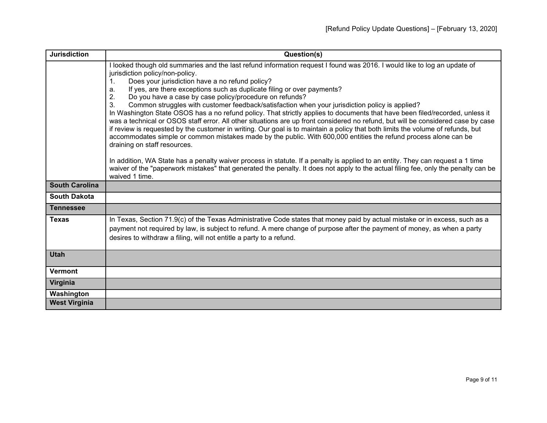| <b>Jurisdiction</b>   | Question(s)                                                                                                                                                                                                                                                                                                                                                                                                                                                                                                                                                                                                                                                                                                                                                                                                                                                                                                                                                                                                                 |
|-----------------------|-----------------------------------------------------------------------------------------------------------------------------------------------------------------------------------------------------------------------------------------------------------------------------------------------------------------------------------------------------------------------------------------------------------------------------------------------------------------------------------------------------------------------------------------------------------------------------------------------------------------------------------------------------------------------------------------------------------------------------------------------------------------------------------------------------------------------------------------------------------------------------------------------------------------------------------------------------------------------------------------------------------------------------|
|                       | looked though old summaries and the last refund information request I found was 2016. I would like to log an update of<br>jurisdiction policy/non-policy.<br>Does your jurisdiction have a no refund policy?<br>If yes, are there exceptions such as duplicate filing or over payments?<br>a.<br>Do you have a case by case policy/procedure on refunds?<br>Common struggles with customer feedback/satisfaction when your jurisdiction policy is applied?<br>3.<br>In Washington State OSOS has a no refund policy. That strictly applies to documents that have been filed/recorded, unless it<br>was a technical or OSOS staff error. All other situations are up front considered no refund, but will be considered case by case<br>if review is requested by the customer in writing. Our goal is to maintain a policy that both limits the volume of refunds, but<br>accommodates simple or common mistakes made by the public. With 600,000 entities the refund process alone can be<br>draining on staff resources. |
|                       | In addition, WA State has a penalty waiver process in statute. If a penalty is applied to an entity. They can request a 1 time<br>waiver of the "paperwork mistakes" that generated the penalty. It does not apply to the actual filing fee, only the penalty can be<br>waived 1 time.                                                                                                                                                                                                                                                                                                                                                                                                                                                                                                                                                                                                                                                                                                                                      |
| <b>South Carolina</b> |                                                                                                                                                                                                                                                                                                                                                                                                                                                                                                                                                                                                                                                                                                                                                                                                                                                                                                                                                                                                                             |
| <b>South Dakota</b>   |                                                                                                                                                                                                                                                                                                                                                                                                                                                                                                                                                                                                                                                                                                                                                                                                                                                                                                                                                                                                                             |
| <b>Tennessee</b>      |                                                                                                                                                                                                                                                                                                                                                                                                                                                                                                                                                                                                                                                                                                                                                                                                                                                                                                                                                                                                                             |
| <b>Texas</b>          | In Texas, Section 71.9(c) of the Texas Administrative Code states that money paid by actual mistake or in excess, such as a<br>payment not required by law, is subject to refund. A mere change of purpose after the payment of money, as when a party<br>desires to withdraw a filing, will not entitle a party to a refund.                                                                                                                                                                                                                                                                                                                                                                                                                                                                                                                                                                                                                                                                                               |
| <b>Utah</b>           |                                                                                                                                                                                                                                                                                                                                                                                                                                                                                                                                                                                                                                                                                                                                                                                                                                                                                                                                                                                                                             |
| <b>Vermont</b>        |                                                                                                                                                                                                                                                                                                                                                                                                                                                                                                                                                                                                                                                                                                                                                                                                                                                                                                                                                                                                                             |
| Virginia              |                                                                                                                                                                                                                                                                                                                                                                                                                                                                                                                                                                                                                                                                                                                                                                                                                                                                                                                                                                                                                             |
| Washington            |                                                                                                                                                                                                                                                                                                                                                                                                                                                                                                                                                                                                                                                                                                                                                                                                                                                                                                                                                                                                                             |
| <b>West Virginia</b>  |                                                                                                                                                                                                                                                                                                                                                                                                                                                                                                                                                                                                                                                                                                                                                                                                                                                                                                                                                                                                                             |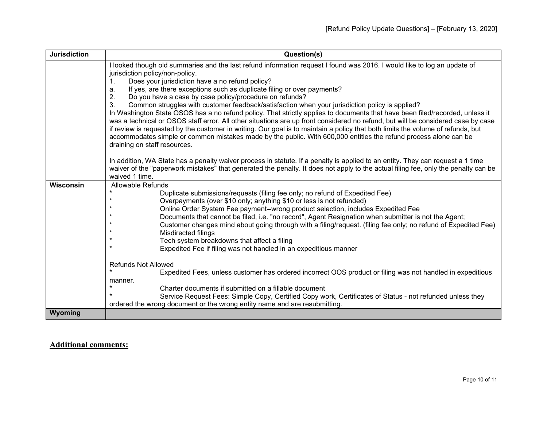| <b>Jurisdiction</b> | Question(s)                                                                                                                                                                                                                                         |
|---------------------|-----------------------------------------------------------------------------------------------------------------------------------------------------------------------------------------------------------------------------------------------------|
|                     | I looked though old summaries and the last refund information request I found was 2016. I would like to log an update of                                                                                                                            |
|                     | jurisdiction policy/non-policy.                                                                                                                                                                                                                     |
|                     | Does your jurisdiction have a no refund policy?<br>$\mathbf{1}$ .                                                                                                                                                                                   |
|                     | If yes, are there exceptions such as duplicate filing or over payments?<br>a.                                                                                                                                                                       |
|                     | Do you have a case by case policy/procedure on refunds?<br>2.                                                                                                                                                                                       |
|                     | Common struggles with customer feedback/satisfaction when your jurisdiction policy is applied?<br>3.                                                                                                                                                |
|                     | In Washington State OSOS has a no refund policy. That strictly applies to documents that have been filed/recorded, unless it                                                                                                                        |
|                     | was a technical or OSOS staff error. All other situations are up front considered no refund, but will be considered case by case                                                                                                                    |
|                     | if review is requested by the customer in writing. Our goal is to maintain a policy that both limits the volume of refunds, but<br>accommodates simple or common mistakes made by the public. With 600,000 entities the refund process alone can be |
|                     | draining on staff resources.                                                                                                                                                                                                                        |
|                     |                                                                                                                                                                                                                                                     |
|                     | In addition, WA State has a penalty waiver process in statute. If a penalty is applied to an entity. They can request a 1 time                                                                                                                      |
|                     | waiver of the "paperwork mistakes" that generated the penalty. It does not apply to the actual filing fee, only the penalty can be                                                                                                                  |
|                     | waived 1 time.                                                                                                                                                                                                                                      |
| <b>Wisconsin</b>    | <b>Allowable Refunds</b>                                                                                                                                                                                                                            |
|                     | Duplicate submissions/requests (filing fee only; no refund of Expedited Fee)                                                                                                                                                                        |
|                     | $\star$<br>Overpayments (over \$10 only; anything \$10 or less is not refunded)                                                                                                                                                                     |
|                     | Online Order System Fee payment--wrong product selection, includes Expedited Fee                                                                                                                                                                    |
|                     | Documents that cannot be filed, i.e. "no record", Agent Resignation when submitter is not the Agent;                                                                                                                                                |
|                     | Customer changes mind about going through with a filing/request. (filing fee only; no refund of Expedited Fee)                                                                                                                                      |
|                     | Misdirected filings<br>Tech system breakdowns that affect a filing                                                                                                                                                                                  |
|                     | Expedited Fee if filing was not handled in an expeditious manner                                                                                                                                                                                    |
|                     |                                                                                                                                                                                                                                                     |
|                     | <b>Refunds Not Allowed</b>                                                                                                                                                                                                                          |
|                     | Expedited Fees, unless customer has ordered incorrect OOS product or filing was not handled in expeditious                                                                                                                                          |
|                     | manner.                                                                                                                                                                                                                                             |
|                     | Charter documents if submitted on a fillable document                                                                                                                                                                                               |
|                     | Service Request Fees: Simple Copy, Certified Copy work, Certificates of Status - not refunded unless they                                                                                                                                           |
|                     | ordered the wrong document or the wrong entity name and are resubmitting.                                                                                                                                                                           |
| Wyoming             |                                                                                                                                                                                                                                                     |

## **Additional comments:**